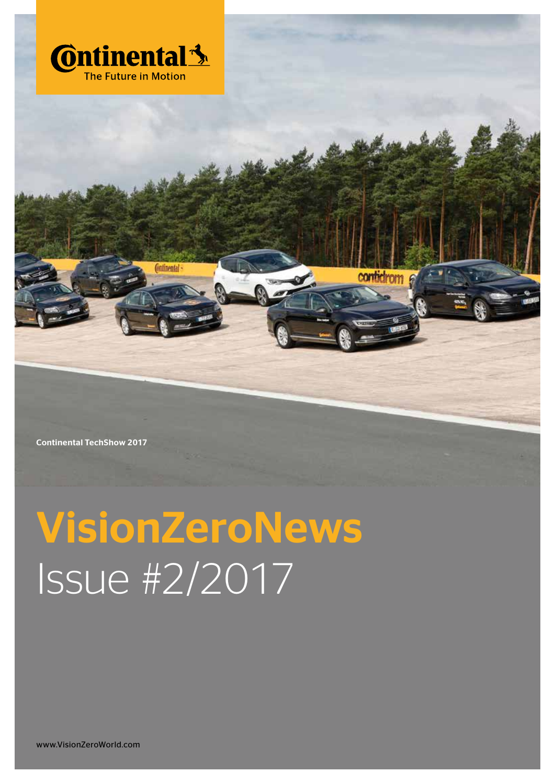

Continental TechShow 2017

# VisionZeroNews Issue #2/2017

www.VisionZeroWorld.com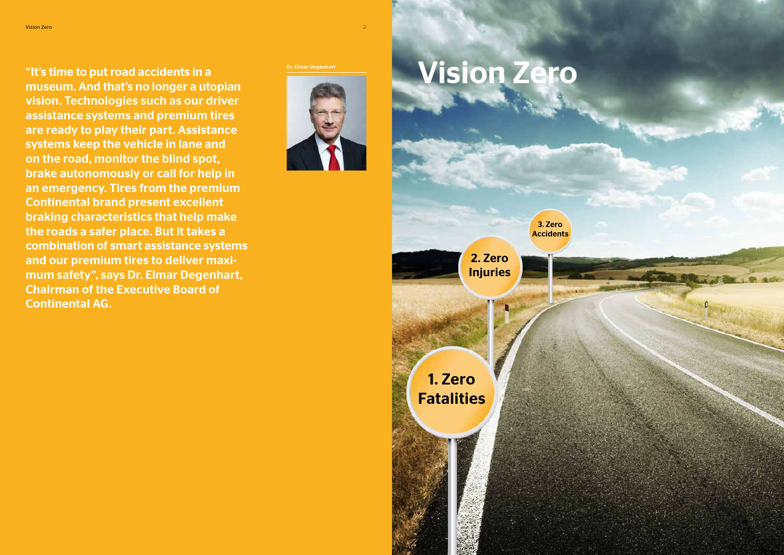"It's time to put road accidents in a museum. And that's no longer a utopian vision. Technologies such as our driver assistance systems and premium tires are ready to play their part. Assistance systems keep the vehicle in lane and on the road, monitor the blind spot, brake autonomously or call for help in an emergency. Tires from the premium Continental brand present excellent braking characteristics that help make the roads a safer place. But it takes a combination of smart assistance systems and our premium tires to deliver maximum safety", says Dr. Elmar Degenhart, Chairman of the Executive Board of Continental AG.

3. Zero **Accidents** 



# Vision Zero

2. Zero Injuries

1. Zero Fatalities

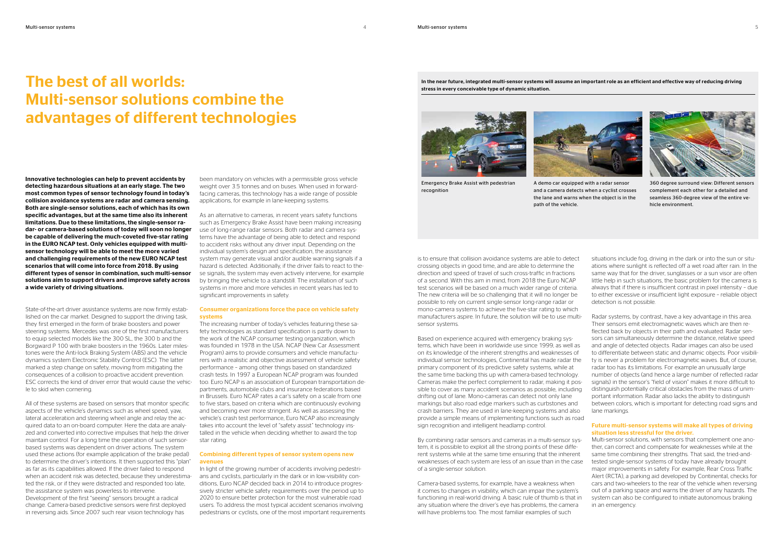## The best of all worlds: Multi-sensor solutions combine the advantages of different technologies

State-of-the-art driver assistance systems are now firmly established on the car market. Designed to support the driving task, they first emerged in the form of brake boosters and power steering systems. Mercedes was one of the first manufacturers to equip selected models like the 300 SL, the 300 b and the Borgward P 100 with brake boosters in the 1960s. Later milestones were the Anti-lock Braking System (ABS) and the vehicle dynamics system Electronic Stability Control (ESC). The latter marked a step change on safety, moving from mitigating the consequences of a collision to proactive accident prevention. ESC corrects the kind of driver error that would cause the vehicle to skid when cornering.

As an alternative to cameras, in recent years safety functions such as Emergency Brake Assist have been making increasing use of long-range radar sensors. Both radar and camera systems have the advantage of being able to detect and respond to accident risks without any driver input. Depending on the individual system's design and specification, the assistance system may generate visual and/or audible warning signals if a hazard is detected. Additionally, if the driver fails to react to these signals, the system may even actively intervene, for example by bringing the vehicle to a standstill. The installation of such systems in more and more vehicles in recent years has led to significant improvements in safety.

All of these systems are based on sensors that monitor specific aspects of the vehicle's dynamics such as wheel speed, yaw, lateral acceleration and steering wheel angle and relay the acquired data to an on-board computer. Here the data are analyzed and converted into corrective impulses that help the driver maintain control. For a long time the operation of such sensorbased systems was dependent on driver actions. The system used these actions (for example application of the brake pedal) to determine the driver's intentions. It then supported this "plan" as far as its capabilities allowed. If the driver failed to respond when an accident risk was detected, because they underestimated the risk, or if they were distracted and responded too late, the assistance system was powerless to intervene. Development of the first "seeing" sensors brought a radical change. Camera-based predictive sensors were first deployed in reversing aids. Since 2007 such rear vision technology has

been mandatory on vehicles with a permissible gross vehicle weight over 3.5 tonnes and on buses. When used in forwardfacing cameras, this technology has a wide range of possible applications, for example in lane-keeping systems.

### Consumer organizations force the pace on vehicle safety systems

The increasing number of today's vehicles featuring these safety technologies as standard specification is partly down to the work of the NCAP consumer testing organization, which was founded in 1978 in the USA. NCAP (New Car Assessment Program) aims to provide consumers and vehicle manufacturers with a realistic and objective assessment of vehicle safety performance – among other things based on standardized crash tests. In 1997 a European NCAP program was founded too. Euro NCAP is an association of European transportation departments, automobile clubs and insurance federations based in Brussels. Euro NCAP rates a car's safety on a scale from one to five stars, based on criteria which are continuously evolving and becoming ever more stringent. As well as assessing the vehicle's crash test performance, Euro NCAP also increasingly takes into account the level of "safety assist" technology installed in the vehicle when deciding whether to award the top star rating.

### Combining different types of sensor system opens new avenues

In light of the growing number of accidents involving pedestrians and cyclists, particularly in the dark or in low-visibility conditions, Euro NCAP decided back in 2014 to introduce progressively stricter vehicle safety requirements over the period up to 2020 to ensure better protection for the most vulnerable road users. To address the most typical accident scenarios involving pedestrians or cyclists, one of the most important requirements



360 degree surround view: Different sensors complement each other for a detailed and seamless 360-degree view of the entire vehicle environment.

Based on experience acquired with emergency braking systems, which have been in worldwide use since 1999, as well as on its knowledge of the inherent strengths and weaknesses of individual sensor technologies, Continental has made radar the primary component of its predictive safety systems, while at the same time backing this up with camera-based technology. Cameras make the perfect complement to radar, making it possible to cover as many accident scenarios as possible, including drifting out of lane. Mono-cameras can detect not only lane markings but also road edge markers such as curbstones and crash barriers. They are used in lane-keeping systems and also provide a simple means of implementing functions such as road sign recognition and intelligent headlamp control.

is to ensure that collision avoidance systems are able to detect crossing objects in good time, and are able to determine the direction and speed of travel of such cross-traffic in fractions of a second. With this aim in mind, from 2018 the Euro NCAP test scenarios will be based on a much wider range of criteria. The new criteria will be so challenging that it will no longer be possible to rely on current single-sensor long-range radar or mono-camera systems to achieve the five-star rating to which manufacturers aspire. In future, the solution will be to use multisensor systems. situations include fog, driving in the dark or into the sun or situations where sunlight is reflected off a wet road after rain. In the same way that for the driver, sunglasses or a sun visor are often little help in such situations, the basic problem for the camera is always that if there is insufficient contrast in pixel intensity – due to either excessive or insufficient light exposure – reliable object detection is not possible. Radar systems, by contrast, have a key advantage in this area. Their sensors emit electromagnetic waves which are then re-

By combining radar sensors and cameras in a multi-sensor system, it is possible to exploit all the strong points of these different systems while at the same time ensuring that the inherent weaknesses of each system are less of an issue than in the case of a single-sensor solution.

Camera-based systems, for example, have a weakness when it comes to changes in visibility, which can impair the system's functioning in real-world driving. A basic rule of thumb is that in any situation where the driver's eye has problems, the camera will have problems too. The most familiar examples of such

flected back by objects in their path and evaluated. Radar sensors can simultaneously determine the distance, relative speed and angle of detected objects. Radar images can also be used to differentiate between static and dynamic objects. Poor visibility is never a problem for electromagnetic waves. But, of course, radar too has its limitations. For example an unusually large number of objects (and hence a large number of reflected radar signals) in the sensor's "field of vision" makes it more difficult to distinguish potentially critical obstacles from the mass of unimportant information. Radar also lacks the ability to distinguish between colors, which is important for detecting road signs and lane markings.

### Future multi-sensor systems will make all types of driving situation less stressful for the driver.

Multi-sensor solutions, with sensors that complement one another, can correct and compensate for weaknesses while at the same time combining their strengths. That said, the tried-andtested single-sensor systems of today have already brought major improvements in safety. For example, Rear Cross Traffic Alert (RCTA), a parking aid developed by Continental, checks for cars and two-wheelers to the rear of the vehicle when reversing out of a parking space and warns the driver of any hazards. The system can also be configured to initiate autonomous braking in an emergency.

Innovative technologies can help to prevent accidents by detecting hazardous situations at an early stage. The two most common types of sensor technology found in today's collision avoidance systems are radar and camera sensing. Both are single-sensor solutions, each of which has its own specific advantages, but at the same time also its inherent limitations. Due to these limitations, the single-sensor radar- or camera-based solutions of today will soon no longer be capable of delivering the much-coveted five-star rating in the EURO NCAP test. Only vehicles equipped with multisensor technology will be able to meet the more varied and challenging requirements of the new EURO NCAP test scenarios that will come into force from 2018. By using different types of sensor in combination, such multi-sensor solutions aim to support drivers and improve safety across a wide variety of driving situations.

In the near future, integrated multi-sensor systems will assume an important role as an efficient and effective way of reducing driving stress in every conceivable type of dynamic situation.





Emergency Brake Assist with pedestrian recognition

A demo car equipped with a radar sensor and a camera detects when a cyclist crosses the lane and warns when the object is in the path of the vehicle.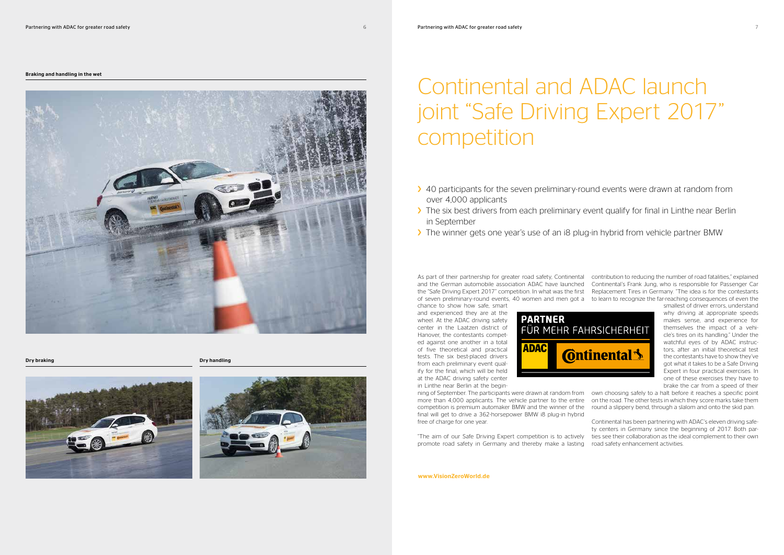## Continental and ADAC launch joint "Safe Driving Expert 2017" competition

- > 40 participants for the seven preliminary-round events were drawn at random from over 4,000 applicants
- > The six best drivers from each preliminary event qualify for final in Linthe near Berlin in September
- > The winner gets one year's use of an i8 plug-in hybrid from vehicle partner BMW

Dry braking

### Braking and handling in the wet



Dry handling





As part of their partnership for greater road safety, Continental contribution to reducing the number of road fatalities," explained and the German automobile association ADAC have launched Continental's Frank Jung, who is responsible for Passenger Car the "Safe Driving Expert 2017" competition. In what was the first Replacement Tires in Germany. "The idea is for the contestants of seven preliminary-round events, 40 women and men got a to learn to recognize the far-reaching consequences of even the chance to show how safe, smart

and experienced they are at the wheel. At the ADAC driving safety center in the Laatzen district of Hanover, the contestants competed against one another in a total of five theoretical and practical tests. The six best-placed drivers from each preliminary event qualify for the final, which will be held at the ADAC driving safety center in Linthe near Berlin at the begin-



ning of September. The participants were drawn at random from own choosing safely to a halt before it reaches a specific point more than 4,000 applicants. The vehicle partner to the entire on the road. The other tests in which they score marks take them competition is premium automaker BMW and the winner of the round a slippery bend, through a slalom and onto the skid pan. final will get to drive a 362-horsepower BMW i8 plug-in hybrid free of charge for one year. Continental has been partnering with ADAC's eleven driving safe-

"The aim of our Safe Driving Expert competition is to actively promote road safety in Germany and thereby make a lasting ty centers in Germany since the beginning of 2017. Both parties see their collaboration as the ideal complement to their own road safety enhancement activities.

smallest of driver errors, understand why driving at appropriate speeds makes sense, and experience for themselves the impact of a vehicle's tires on its handling." Under the watchful eyes of by ADAC instructors, after an initial theoretical test the contestants have to show they've got what it takes to be a Safe Driving Expert in four practical exercises. In one of these exercises they have to brake the car from a speed of their

www.VisionZeroWorld.de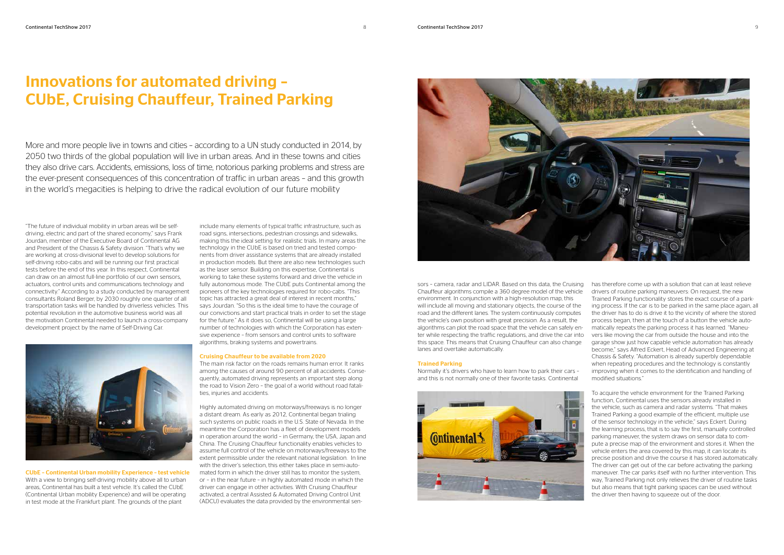### Innovations for automated driving – CUbE, Cruising Chauffeur, Trained Parking



"The future of individual mobility in urban areas will be selfdriving, electric and part of the shared economy," says Frank Jourdan, member of the Executive Board of Continental AG and President of the Chassis & Safety division. "That's why we are working at cross-divisional level to develop solutions for self-driving robo-cabs and will be running our first practical tests before the end of this year. In this respect, Continental can draw on an almost full-line portfolio of our own sensors, actuators, control units and communications technology and connectivity." According to a study conducted by management consultants Roland Berger, by 2030 roughly one quarter of all transportation tasks will be handled by driverless vehicles. This potential revolution in the automotive business world was all the motivation Continental needed to launch a cross-company development project by the name of Self-Driving Car.



CUbE – Continental Urban mobility Experience – test vehicle With a view to bringing self-driving mobility above all to urban areas, Continental has built a test vehicle. It's called the CUbE (Continental Urban mobility Experience) and will be operating in test mode at the Frankfurt plant. The grounds of the plant

include many elements of typical traffic infrastructure, such as road signs, intersections, pedestrian crossings and sidewalks, making this the ideal setting for realistic trials. In many areas the technology in the CUbE is based on tried and tested components from driver assistance systems that are already installed in production models. But there are also new technologies such as the laser sensor. Building on this expertise, Continental is working to take these systems forward and drive the vehicle in fully autonomous mode. The CUbE puts Continental among the pioneers of the key technologies required for robo-cabs. "This topic has attracted a great deal of interest in recent months," says Jourdan. "So this is the ideal time to have the courage of our convictions and start practical trials in order to set the stage for the future." As it does so, Continental will be using a large number of technologies with which the Corporation has extensive experience – from sensors and control units to software algorithms, braking systems and powertrains.

### Cruising Chauffeur to be available from 2020

The main risk factor on the roads remains human error. It ranks among the causes of around 90 percent of all accidents. Consequently, automated driving represents an important step along the road to Vision Zero – the goal of a world without road fatalities, injuries and accidents.

Highly automated driving on motorways/freeways is no longer a distant dream. As early as 2012, Continental began trialing such systems on public roads in the U.S. State of Nevada. In the meantime the Corporation has a fleet of development models in operation around the world – in Germany, the USA, Japan and China. The Cruising Chauffeur functionality enables vehicles to assume full control of the vehicle on motorways/freeways to the extent permissible under the relevant national legislation. In line with the driver's selection, this either takes place in semi-automated form in which the driver still has to monitor the system, or – in the near future – in highly automated mode in which the driver can engage in other activities. With Cruising Chauffeur activated, a central Assisted & Automated Driving Control Unit (ADCU) evaluates the data provided by the environmental sen-

More and more people live in towns and cities - according to a UN study conducted in 2014, by 2050 two thirds of the global population will live in urban areas. And in these towns and cities they also drive cars. Accidents, emissions, loss of time, notorious parking problems and stress are the ever-present consequences of this concentration of traffic in urban areas – and this growth in the world's megacities is helping to drive the radical evolution of our future mobility

> sors – camera, radar and LIDAR. Based on this data, the Cruising Chauffeur algorithms compile a 360 degree model of the vehicle environment. In conjunction with a high-resolution map, this will include all moving and stationary objects, the course of the road and the different lanes. The system continuously computes the vehicle's own position with great precision. As a result, the algorithms can plot the road space that the vehicle can safely enter while respecting the traffic regulations, and drive the car into this space. This means that Cruising Chauffeur can also change lanes and overtake automatically. Trained Parking Normally it's drivers who have to learn how to park their cars – and this is not normally one of their favorite tasks. Continental has therefore come up with a solution that can at least relieve drivers of routine parking maneuvers: On request, the new Trained Parking functionality stores the exact course of a parking process. If the car is to be parked in the same place again, all the driver has to do is drive it to the vicinity of where the stored process began, then at the touch of a button the vehicle automatically repeats the parking process it has learned. "Maneuvers like moving the car from outside the house and into the garage show just how capable vehicle automation has already become," says Alfred Eckert, Head of Advanced Engineering at Chassis & Safety. "Automation is already superbly dependable when repeating procedures and the technology is constantly improving when it comes to the identification and handling of modified situations."



To acquire the vehicle environment for the Trained Parking function, Continental uses the sensors already installed in the vehicle, such as camera and radar systems. "That makes Trained Parking a good example of the efficient, multiple use of the sensor technology in the vehicle," says Eckert. During the learning process, that is to say the first, manually controlled parking maneuver, the system draws on sensor data to compute a precise map of the environment and stores it. When the vehicle enters the area covered by this map, it can locate its precise position and drive the course it has stored automatically. The driver can get out of the car before activating the parking maneuver. The car parks itself with no further intervention. This way, Trained Parking not only relieves the driver of routine tasks but also means that tight parking spaces can be used without the driver then having to squeeze out of the door.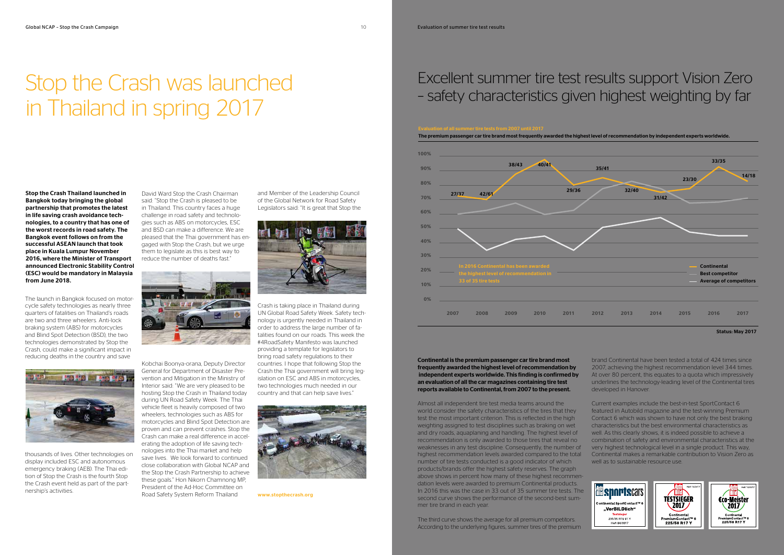## Excellent summer tire test results support Vision Zero – safety characteristics given highest weighting by far

Almost all independent tire test media teams around the Current examples include the best-in-test SportContact 6 world consider the safety characteristics of the tires that they featured in Autobild magazine and the test-winning Premium Contact 6 which was shown to have not only the best braking test the most important criterion. This is reflected in the high characteristics but the best environmental characteristics as weighting assigned to test disciplines such as braking on wet and dry roads, aquaplaning and handling. The highest level of well. As this clearly shows, it is indeed possible to achieve a recommendation is only awarded to those tires that reveal no combination of safety and environmental characteristics at the weaknesses in any test discipline. Consequently, the number of very highest technological level in a single product. This way, highest recommendation levels awarded compared to the total Continental makes a remarkable contribution to Vision Zero as number of tire tests conducted is a good indicator of which well as to sustainable resource use. products/brands offer the highest safety reserves. The graph above shows in percent how many of these highest recommendation levels were awarded to premium Continental products. In 2016 this was the case in 33 out of 35 summer tire tests. The *<b>Expanding Respect* second curve shows the performance of the second-best sum-**TESTSIEGER** €co-Meister mer tire brand in each year.  $\left[2017\right]$ 

Continental is the premium passenger car tire brand most frequently awarded the highest level of recommendation by independent experts worldwide. This finding is confirmed by an evaluation of all the car magazines containing tire test reports available to Continental, from 2007 to the present.

The third curve shows the average for all premium competitors. According to the underlying figures, summer tires of the premium

brand Continental have been tested a total of 424 times since 2007, achieving the highest recommendation level 344 times. At over 80 percent, this equates to a quota which impressively underlines the technology-leading level of the Continental tires developed in Hanover.





Status: May 2017

# Stop the Crash was launched in Thailand in spring 2017

The launch in Bangkok focused on motorcycle safety technologies as nearly three quarters of fatalities on Thailand's roads are two and three wheelers. Anti-lock braking system (ABS) for motorcycles and Blind Spot Detection (BSD), the two technologies demonstrated by Stop the Crash, could make a significant impact in reducing deaths in the country and save



thousands of lives. Other technologies on display included ESC and autonomous emergency braking (AEB). The Thai edition of Stop the Crash is the fourth Stop the Crash event held as part of the partnership's activities.

David Ward Stop the Crash Chairman said: "Stop the Crash is pleased to be in Thailand. This country faces a huge challenge in road safety and technologies such as ABS on motorcycles, ESC and BSD can make a difference. We are pleased that the Thai government has engaged with Stop the Crash, but we urge them to legislate as this is best way to reduce the number of deaths fast."



Kobchai Boonya-orana, Deputy Director

General for Department of Disaster Prevention and Mitigation in the Ministry of Interior said: "We are very pleased to be hosting Stop the Crash in Thailand today during UN Road Safety Week. The Thai vehicle fleet is heavily composed of two wheelers, technologies such as ABS for motorcycles and Blind Spot Detection are proven and can prevent crashes. Stop the Crash can make a real difference in accelerating the adoption of life saving technologies into the Thai market and help save lives. We look forward to continued close collaboration with Global NCAP and the Stop the Crash Partnership to achieve these goals." Hon Nikorn Chamnong MP, President of the Ad-Hoc Committee on Road Safety System Reform Thailand

Stop the Crash Thailand launched in Bangkok today bringing the global partnership that promotes the latest in life saving crash avoidance technologies, to a country that has one of the worst records in road safety. The Bangkok event follows on from the successful ASEAN launch that took place in Kuala Lumpur November 2016, where the Minister of Transport announced Electronic Stability Control (ESC) would be mandatory in Malaysia from June 2018.

and Member of the Leadership Council of the Global Network for Road Safety Legislators said: "It is great that Stop the



Crash is taking place in Thailand during UN Global Road Safety Week. Safety technology is urgently needed in Thailand in order to address the large number of fatalities found on our roads. This week the #4RoadSafety Manifesto was launched providing a template for legislators to bring road safety regulations to their countries. I hope that following Stop the Crash the Thai government will bring legislation on ESC and ABS in motorcycles, two technologies much needed in our country and that can help save lives."



www.stopthecrash.org